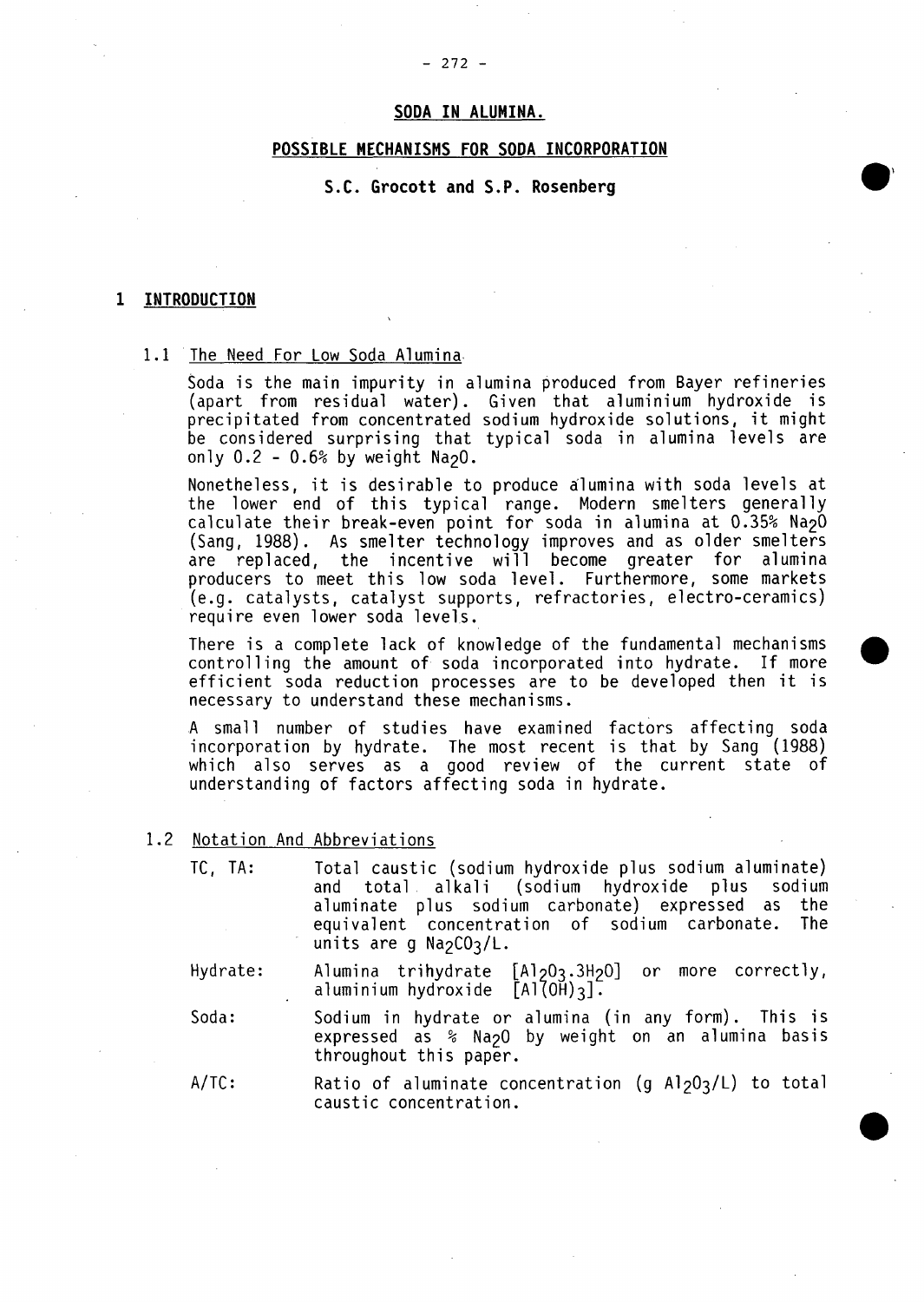#### **- 272 -**

# **SODA IN ALUMINA.**

# **POSSIBLE MECHANISMS FOR SODA INCORPORATION**

# S.C. Grocott and S.P. Rosenberg

#### $\mathbf{1}$ **1INTRODUCTION**

#### **1.1** The Need For Low Soda Alumina

Soda is the main impurity in alumina produced from Bayer refineries (apart from residual water). Given that aluminium hydroxide is precipitated from concentrated sodium hydroxide solutions, it might be considered surprising that typical soda in alumina levels are only 0.2 **- 0.6% by** weight Na2O.

Nonetheless, it is desirable to produce alumina with soda levels at the lower end of this typical range. Modern smelters generally calculate their break-even point for soda in alumina at **0.35%** Na2O (Sang, **1988).** As smelter technology improves and as older smelters are replaced, the incentive will become greater for alumina producers to meet this low soda level. Furthermore, some markets (e.g. catalysts, catalyst supports, refractories, electro-ceramics) require even lower soda levels.

There is a complete lack of knowledge of the fundamental mechanisms controlling the amount of soda incorporated into hydrate. If morew efficient soda reduction processes are to be developed then it is necessary to understand these mechanisms.

**A** small number of studies have examined factors affecting soda incorporation **by** hydrate. The most recent is that **by** Sang **(1988)** which also serves as a good review of the current state of understanding of factors affecting soda in hydrate.

- 1.2 Notation And Abbreviations
	- **TC, TA:** Total caustic (sodium hydroxide plus sodium aluminate) and total alkali (sodium hydroxide plus sodium aluminate plus sodium carbonate) expressed as the equivalent concentration of sodium carbonate. The units are g Na<sub>2</sub>CO<sub>3</sub>/L.
	- Hydrate: Alumina trihydrate **[Al 203 ,3H20]** or more correctly, aluminium hydroxide  $[A1\overline{OH}]$ 3].

Soda: Sodium in hydrate or alumina (in any form). This is expressed as **%** Na2O **by** weight on an alumina basis throughout this paper.

A/TC: Ratio of aluminate concentration (g Al<sub>2</sub>0<sub>3</sub>/L) to total caustic concentration.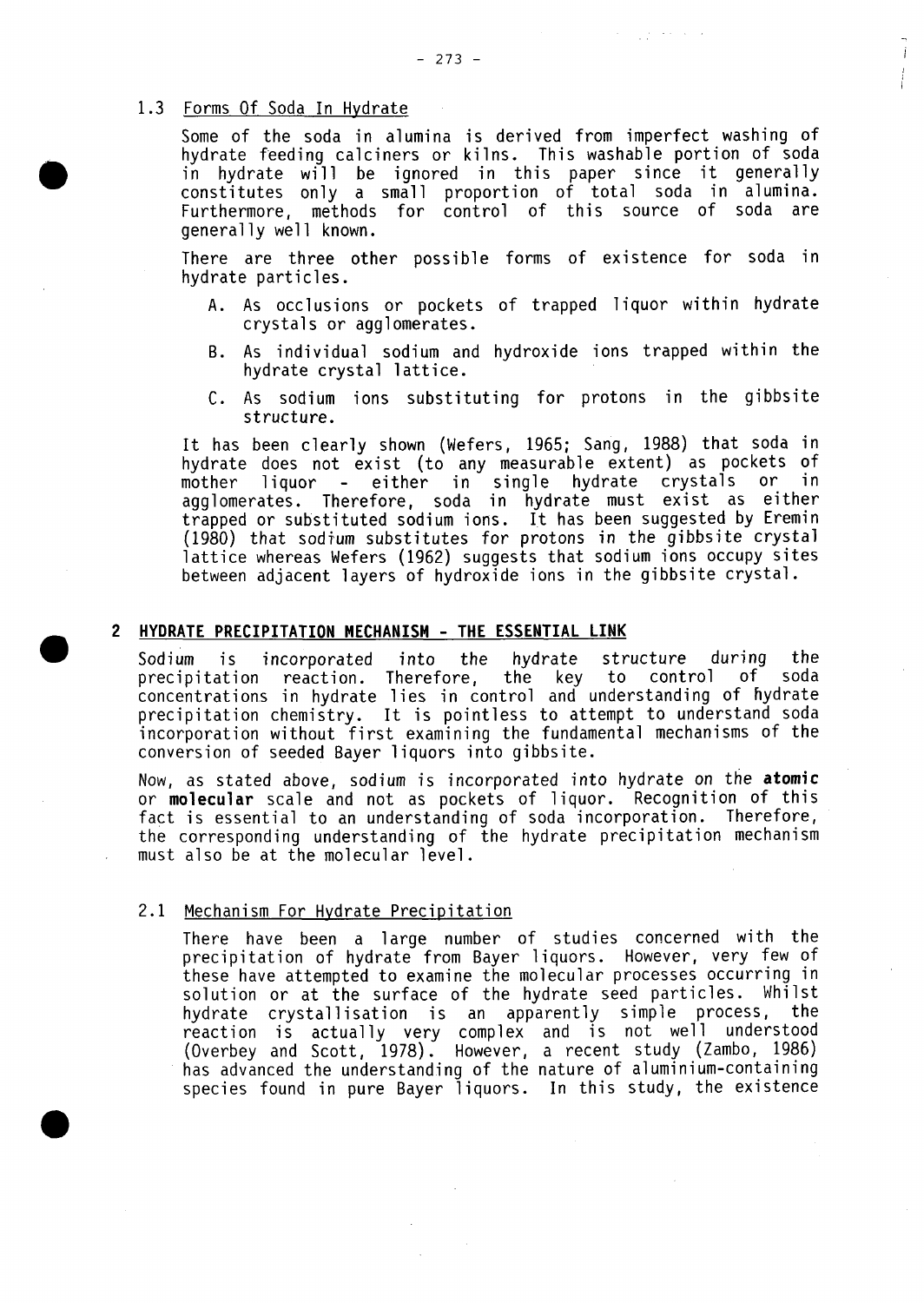# **1.3** Forms **Of** Soda In Hydrate

Some of the soda in alumina is derived from imperfect washing of hydrate feeding calciners or kilns. This washable portion of soda in hydrate will be ignored in this paper since it generally constitutes only a small proportion of total soda in alumina. Furthermore, methods for control of this source of soda are generally well known.

Ť

There are three other possible forms of existence for soda in hydrate particles.

- **A.** As occlusions or pockets of trapped liquor within hydrate crystals or agglomerates.
- B. As individual sodium and hydroxide ions trapped within the hydrate crystal lattice.
- **C.** As sodium ions substituting for protons in the gibbsite structure.

It has been clearly shown (Wefers, **1965;** Sang, **1988)** that soda in hydrate does not exist (to any measurable extent) as pockets of<br>mother liquor - either in single hydrate crystals or in mother liquor - either in single hydrate crystals or agglomerates. Therefore, soda in hydrate must exist as either trapped or substituted sodium ions. It has been suggested **by** Eremin **(1980)** that sodium substitutes for protons in the gibbsite crystal lattice whereas Wefers (1962) suggests that sodium ions occupy sites between adjacent layers of hydroxide ions in the gibbsite crystal.

### 2 HYDRATE PRECIPITATION **MECHANISM - THE ESSENTIAL LINK**

Sodium is incorporated into the hydrate structure during the<br>precipitation reaction. Therefore, the key to control of soda the key to control of concentrations in hydrate lies in control and understanding of hydrate precipitation chemistry. It is pointless to attempt to understand soda incorporation without first examining the fundamental mechanisms of the conversion of seeded Bayer liquors into gibbsite.

Now, as stated above, sodium is incorporated into hydrate on the **atomic** or molecular scale and not as pockets of liquor. Recognition of this fact is essential to an understanding of soda incorporation. Therefore, the corresponding understanding of the hydrate precipitation mechanism must also be at the molecular level.

# 2.1 Mechanism For Hydrate Precipitation

There have been a large number of studies concerned with the precipitation of hydrate from Bayer liquors. However, very few of these have attempted to examine the molecular processes occurring in solution or at the surface of the hydrate seed particles. Whilst hydrate crystallisation is an apparently simple process, the reaction is actually very complex and is not well understood (Overbey and Scott, **1918).** However, a recent study (Zambo, **1986)** has advanced the understanding of the nature of aluminium-containing species found in pure Bayer liquors. In this study, the existence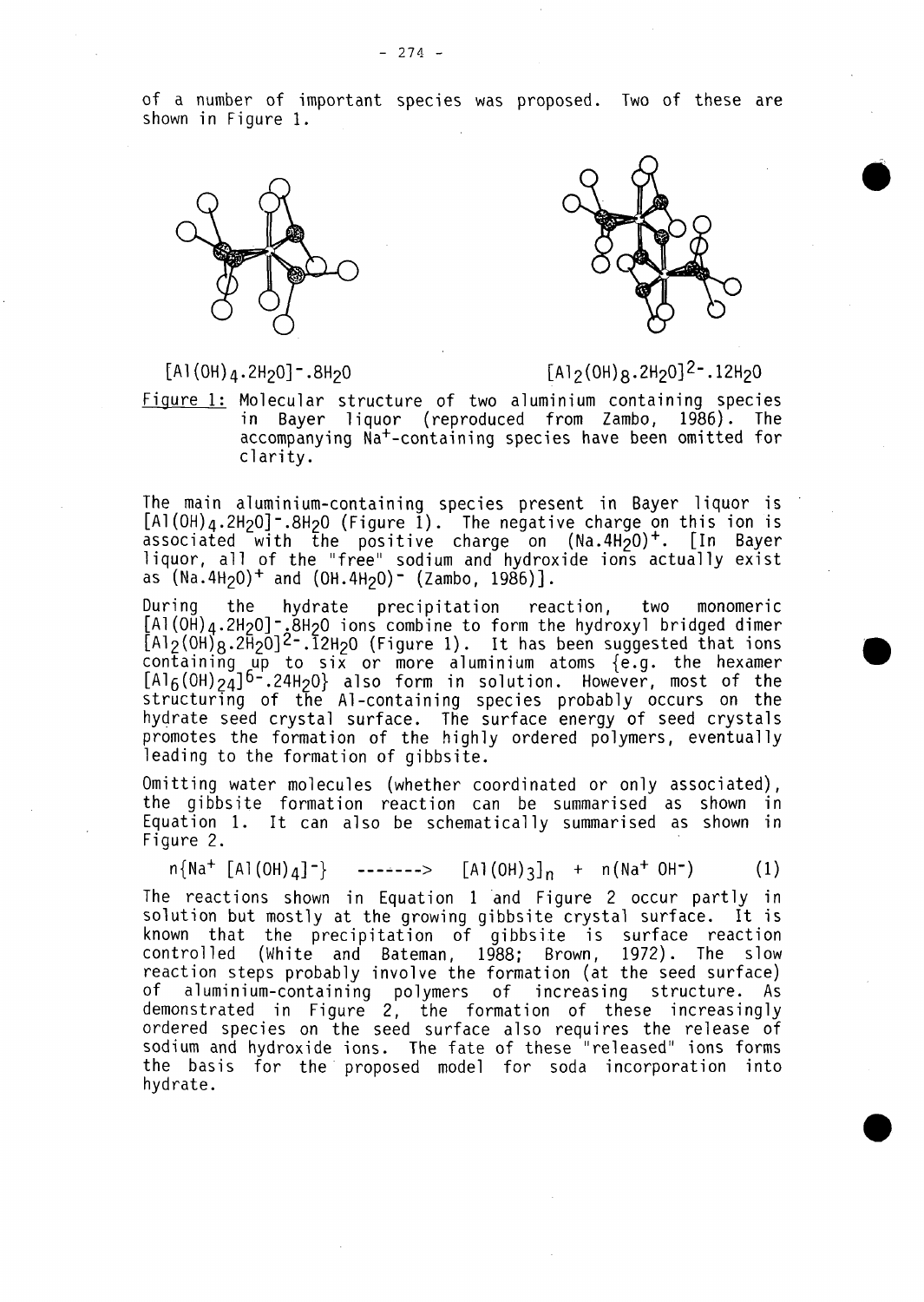of a number of important species was proposed. Two of these are shown in Figure **1.**





# [Al(OH)4 .2H20]-.8H20 **[A1 2(OH)8 .2H20]2 -.12H 20**

Figure **1:** Molecular structure of two aluminium containing species in Bayer liquor (reproduced from Zambo, **1986).** The accompanying Na+-containing species have been omitted for clarity.

The main aluminium-containing species present in Bayer liquor is [Al (OH)4.2H20]-.8H2O (Figure **1).** The negative charge on this ion is associated with the positive charge on  $(Na.4H<sub>2</sub>O)^+$ . [In Bayer liquor, all of the "free" sodium and hydroxide ions actually exist as (Na.4H2O)+ and (OH.4H20)- (Zambo, **1986)].**

During the hydrate precipitation reaction, two monomeric [Al(OH) $_4$ .2H $_2$ O]- $_\star$ 8H $_2$ O ions combine to form the hydroxyl bridged dimer **[A1 2(OH)8 .2-yO]2-.12H-2O** (Figure **1).** It has been suggested that ions containing up to six or more aluminium atoms {e.g. the hexamer  $[A1_6(0H)_{24}]$ <sup>6-</sup>.24H<sub>2</sub>0} also form in solution. However, most of the structuring of the Al-containing species probably occurs on the hydrate seed crystal surface. The surface energy of seed crystals promotes the formation of the **highly** ordered polymers, eventually leading to the formation of gibbsite.

Omitting water molecules (whether coordinated or only associated), the gibbsite formation reaction can be summarised as shown in Equation **1.** It can also be schematically summarised as shown in Figure 2.

 $n\{NA^+ \ [A] (OH)_{4}]^-\}$  ------->  $[A] (OH)_{3}]_n$  +  $n(Na^+ \ OH^-)$  (1)

The reactions shown in Equation **1** 'and Figure 2 occur partly in solution but mostly at the growing gibbsite crystal surface. It is known that the precipitation of gibbsite is surface reaction controlled (White and Bateman, **1988;** Brown, **1972).** The slow reaction steps probably involve the formation (at the seed surface) of aluminium-containing polymers of increasing structure. As demonstrated in Figure 2, the formation of these increasingly ordered species on the seed surface also requires the release of sodium and hydroxide ions. The fate of these "released" ions forms the basis for the proposed model for soda incorporation into hydrate.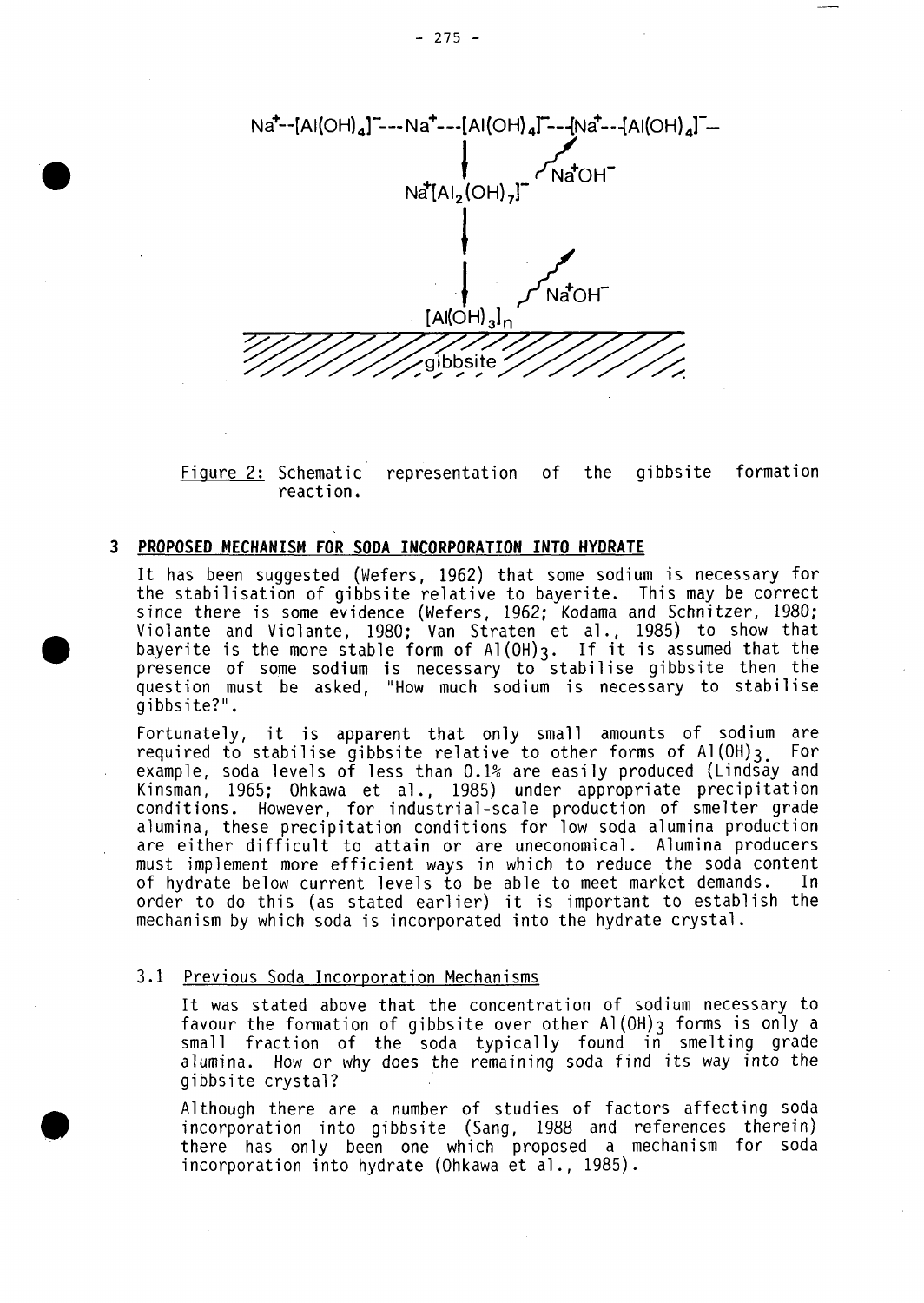

Figure 2: Schematic representation of the gibbsite formation reaction.

### **3 PROPOSED MECHANISM FOR SODA INCORPORATION INTO HYDRATE**

It has been suggested (Wefers, **1962)** that some sodium is necessary for the stabilisation of gibbsite relative to bayerite. This may be correct since there is some evidence (Wefers, **1962;** Kodama and Schnitzer, **1980;** Violante and Violante, **1980;** Van Straten et a]., **1985)** to show that bayerite is the more stable form of **AI(OH) 3.** If it is assumed that the presence of some sodium is necessary to stabilise gibbsite then the question must be asked, **"How** much sodium is necessary to stabilise gibbsite?".

Fortunately, it is apparent that only small amounts of sodium are<br>required to stabilise gibbsite relative to other forms of Al(OH)2 For required to stabilise gibbsite relative to other forms of  $AI(0H)_{3}$ example, soda levels of less than **0.1%** are easily produced (Lindsay and Kinsman, **1965;** Ohkawa et al., **1985)** under appropriate precipitation conditions. However, for industrial -scale production of smelter grade alumina, these precipitation conditions for low soda alumina production are either difficult to attain or are uneconomical. Alumina producers must implement more efficient ways in which to reduce the soda content of hydrate below current levels to be able to meet market demands. In order to do this (as stated earlier) it is important to establish the mechanism **by** which soda is incorporated into the hydrate crystal.

### **3.1** Previous Soda Incorporation Mechanisms

It was stated above that the concentration of sodium necessary to favour the formation of gibbsite over other Al(OH)3 forms is only a small fraction of the soda typically found in smelting grade alumina. How or why does the remaining soda find its way into the gibbsite crystal?

Although there are a number of studies of factors affecting soda incorporation into gibbsite (Sang, **1988** and references therein) there has only been one which proposed a mechanism for soda incorporation into hydrate (Ohkawa et al., **1985).**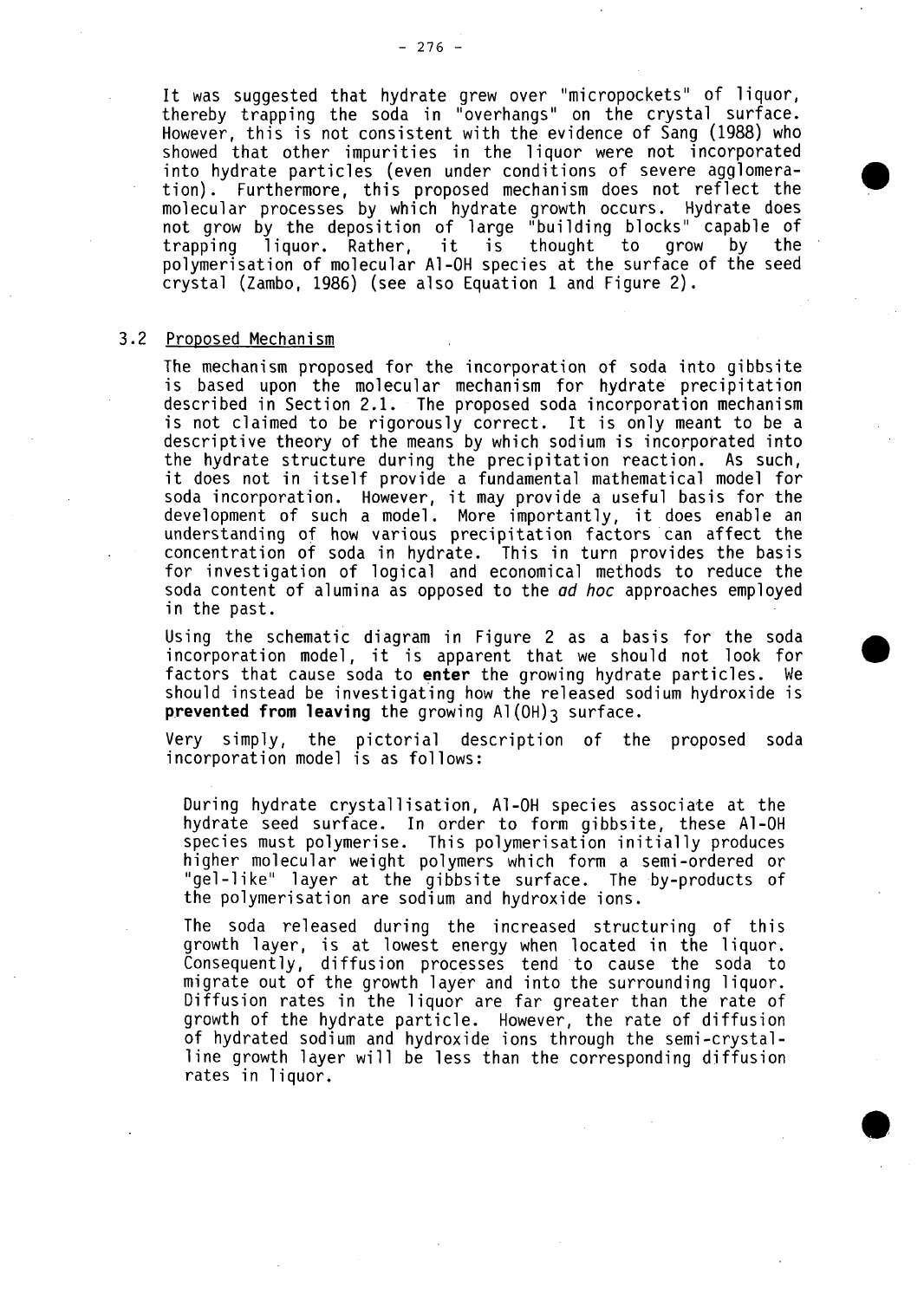It was suggested that hydrate grew over "micropockets" of liquor, thereby trapping the soda in "overhangs" on the crystal surface. However, this is not consistent with the evidence of Sang **(1988)** who showed that other impurities in the liquor were not incorporated into hydrate particles (even under conditions of severe agglomeration). Furthermore, this proposed mechanism does not reflect the molecular processes **by** which hydrate growth occurs. Hydrate does not grow **by** the deposition of large "building blocks" capable of trapping ]iquor. Rather, it is thought to grow **by** the polymerisation of molecular **Al-OH** species at the surface of the seed crystal (Zambo, **1986)** (see also Equation **1** and Figure 2).

#### **3.2** Proposed Mechanism

The mechanism proposed for the incorporation of soda into gibbsite<br>is ,based upon the molecular mechanism for hydrate precipitation described in Section 2.1. The proposed soda incorporation mechanism is not claimed to be rigorously correct. It is only meant to be a descriptive theory of the means **by** which sodium is incorporated into the hydrate structure during the precipitation reaction. As such, it does not in itself provide a fundamental mathematical model for soda incorporation. However, it may provide a useful basis for the development of such a model. More importantly, it does enable an understanding of how various precipitation factors can affect the concentration of soda in hydrate. This in turn provides the basis for investigation of logical and economical methods to reduce the soda content of alumina as opposed to the **ad** hoc approaches employed in the past.

Using the schematic diagram in Figure 2 as a basis for the soda incorporation model, it is apparent that we should not look for **0** factors that cause soda to **enter** the growing hydrate particles. We should instead be investigating how the released sodium hydroxide is prevented from leaving the growing Al(OH)3 surface.

Very simply, the pictorial description of the proposed soda incorporation model is as follows:

During hydrate crystallIisation, **Al-OH** species associate at the hydrate seed surface. In order to form gibbsite, these **Al-OH** species must polymerise. This polymerisation initially produces higher molecular weight polymers which form a semi-ordered or "gel-like" layer at the gibbsite surface. The by-products of the polymerisation are sodium and hydroxide ions.

The soda released during the increased structuring of this growth layer, is at lowest energy when located in the liquor.<br>Consequently, diffusion processes tend to cause the soda to migrate out of the growth layer and into the surrounding liquor. Diffusion rates in the liquor are far greater than the rate of growth of the hydrate particle. However, the rate of diffusion of hydrated sodium and hydroxide ions through the semi-crystalline growth layer will be less than the corresponding diffusion rates in liquor.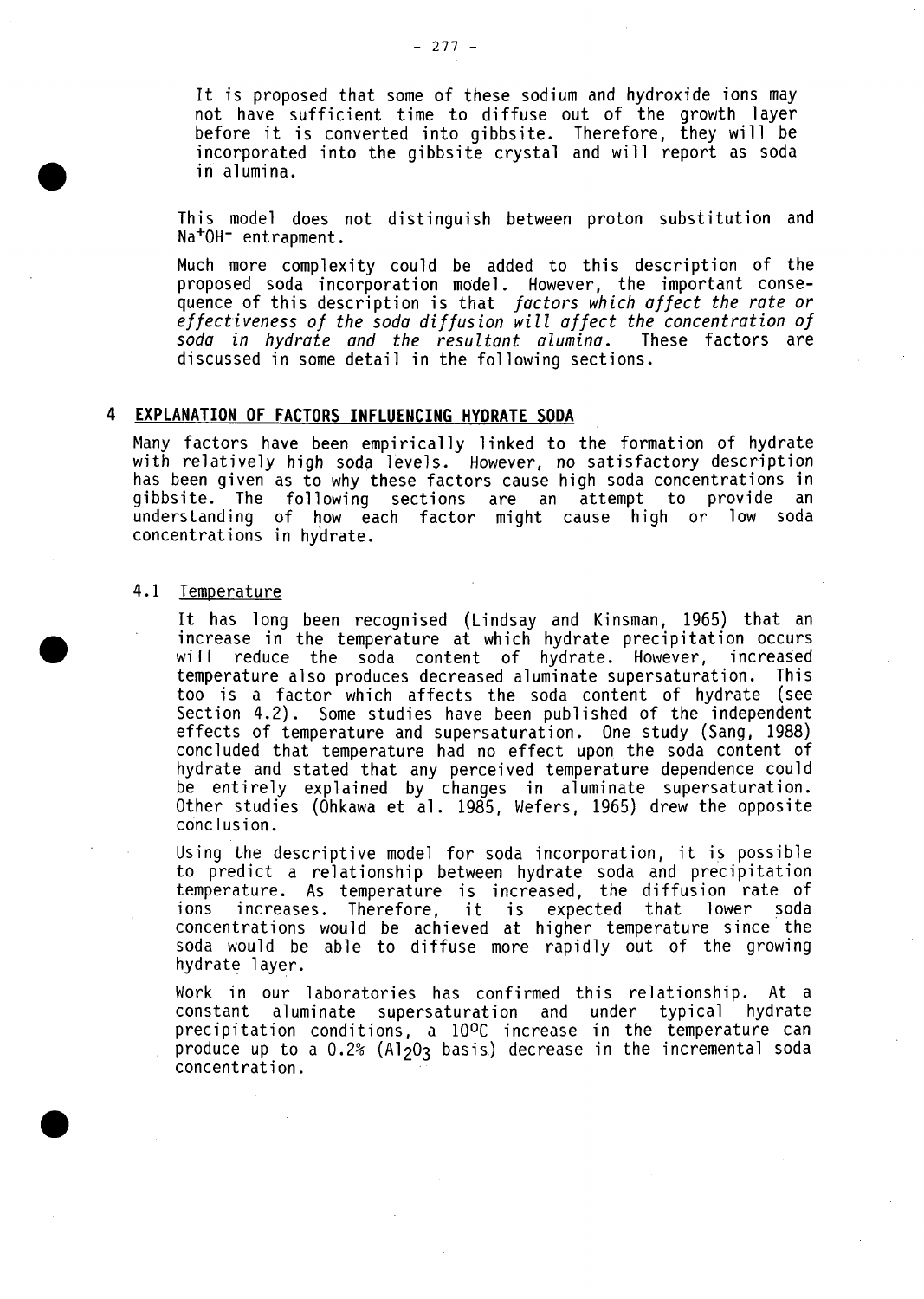It is proposed that some of these sodium and hydroxide ions may<br>not have sufficient time to diffuse out of the growth layer before it is converted into gibbsite. Therefore, they will be incorporated into the gibbsite crystal and will report as soda in alumina.

This model does not distinguish between proton substitution and Na<sup>+</sup>OH<sup>-</sup> entrapment.

Much more complexity could be added to this description of the proposed soda incorporation model. However, the important consequence of this description is that factors which affect the rate or effectiveness of the soda diffusion will affect the concentration of<br>soda in hydrate and the resultant alumina. These factors are soda in hydrate and the resultant alumina. discussed in some detail in the following sections.

#### **4 EXPLANATION OF FACTORS INFLUENCING HYDRATE SODA**

Many factors have been empirically linked to the formation of hydrate<br>with relatively high soda levels. However, no satisfactory description has been given as to why these factors cause high soda concentrations in gibbsite. The following sections are an attempt to provide an understanding of how each factor might cause high or low soda concentrations in hydrate.

#### 4.1 Temperature

It has long been recognised (Lindsay and Kinsman, **1965)** that an increase in the temperature at which hydrate precipitation occurs will reduce the soda content of hydrate. However, increased temperature also produces decreased aluminate supersaturation. This too is a factor which affects the soda content of hydrate (see Section 4.2). Some studies have been published of the independent effects of temperature and supersaturation. One study (Sang, **1988)** concluded that temperature had no effect upon the soda content of hydrate and stated that any perceived temperature dependence could be entirely explained **by** changes in aluminate supersaturation. Other studies (Ohkawa et al. **1985,** Wefers, **1965)** drew the opposite conclus ion.

Using the descriptive model for soda incorporation, it is possible to predict a relationship between hydrate soda and precipitation temperature. As temperature is increased, the diffusion rate of ions increases. Therefore, it is expected that lower soda concentrations would be achieved at higher temperature since the soda would be able to diffuse more rapidly out of the growing hydrate layer.

Work in our laboratories has confirmed this relationship. At a constant aluminate supersaturation and under typical precipitation conditions, a **100C** increase in the temperature can produce up to a 0.2% **(A1203** basis.) decrease in the incremental soda concentration.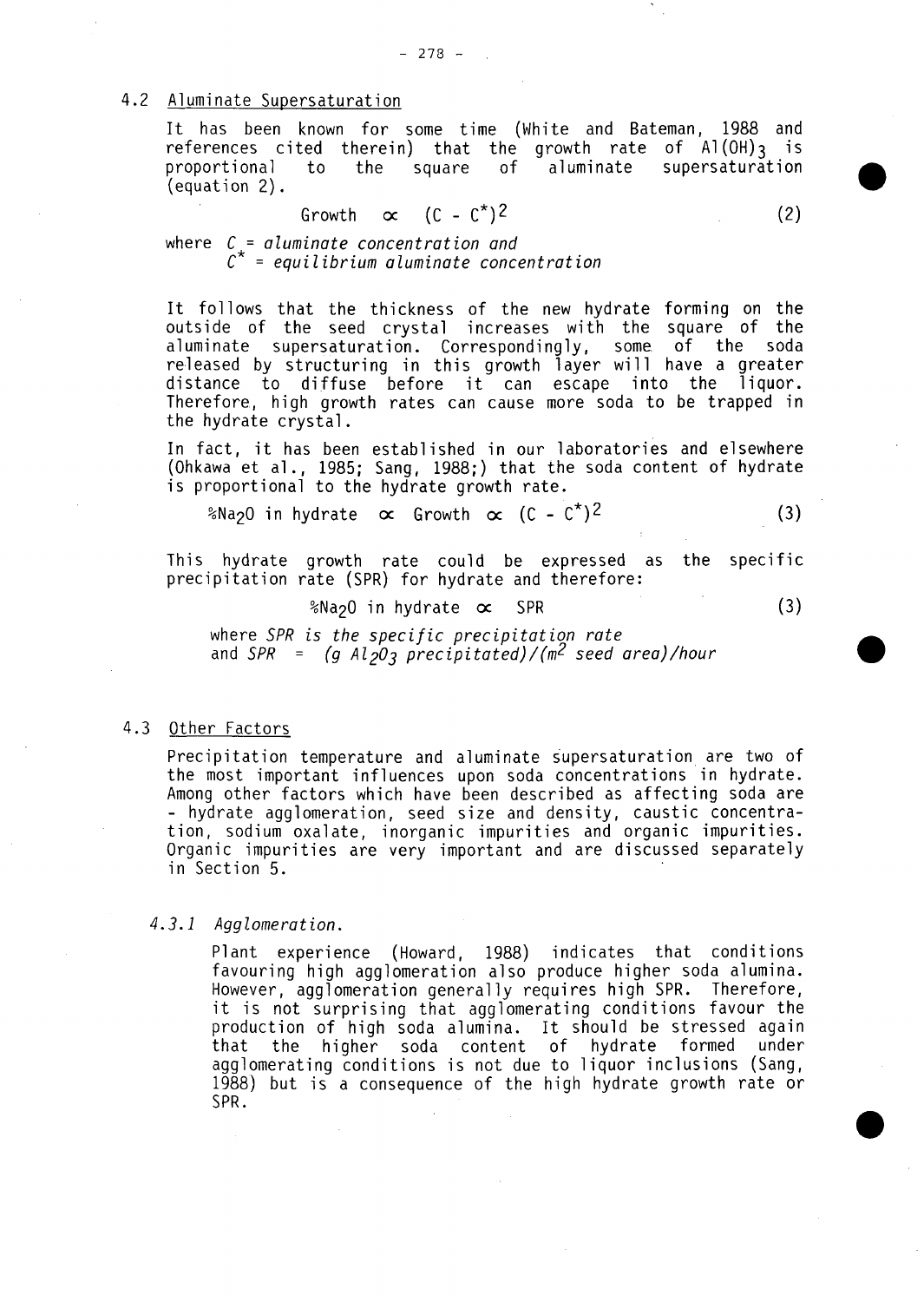### 4.2 Aluminate Supersaturation

It has been known for some time (White and Bateman, **<sup>1988</sup>**and references cited therein) that the growth rate of **A](OH)3** is square of aluminate (equation 2).

$$
Growth \quad \propto \quad (C - C^*)^2 \tag{2}
$$

where C = aluminate concentration and **C=** equilibrium aluminate concentration

It follows that the thickness of the new hydrate forming on the outside of the seed crystal increases with the square of the aluminate supersaturation. Correspondingly, some. of the soda re-leased **by** structuring in this growth layer will have a greater distance to diffuse before it can escape into the liquor. Therefore., high growth rates can cause more soda to be trapped in the hydrate crystal.

In fact, it has been established in our laboratories and elsewhere (Ohkawa et a]., **1985;** Sang, **1988;)** that the soda content of hydrate is proportional to the hydrate growth rate.

%Na<sub>2</sub>O in hydrate  $\alpha$  Growth  $\alpha$  (C - C<sup>\*</sup>)<sup>2</sup> **<sup>2</sup>(3)**

This hydrate growth rate could be expressed as the specific precipitation rate (SPR) for hydrate and therefore:

%Na2O in hydrate oc SPR **(3)**

where SPR is the specific precipitation rate and SPR **= (g A1203** precipitated)/(m2 seed area) /hour

# 4.3 Other Factors

Precipitation temperature and aluminate supersaturation are two of the most important influences upon soda concentrations in hydrate. Among other factors which have been described as affecting soda are **-** hydrate agglomeration, seed size and density, caustic concentration, sodium oxalate, inorganic impurities and organic impurities. Organic impurities are very important and are discussed separately in Section **5.**

#### 4.3.1 Agglomeration.

Plant experience (Howard, **1988)** indicates that conditions favouring high agglomeration also produce higher soda alumina. However, agglomeration generally requires high SPR. Therefore, it is not surprising that agglomerating conditions favour the production of high soda alumina. It should be stressed again that the higher soda content of hydrate formed under agglomerating conditions is not due to liquor inclusions (Sang, **1988)** but is a consequence of the high hydrate growth rate or SPR.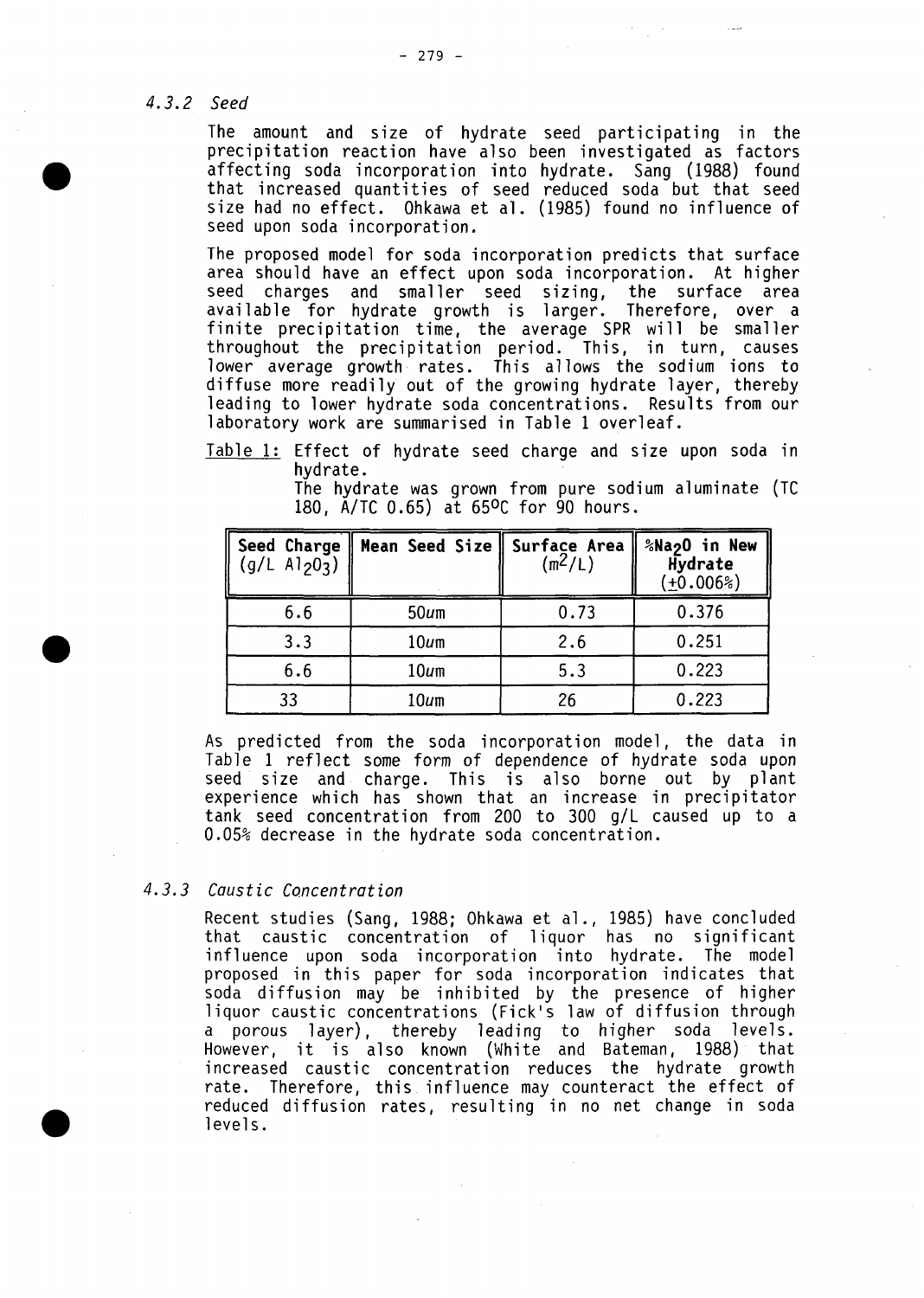# 4.3.2 Seed

**40**

The amount and size of hydrate seed participating in the precipitation reaction have also been investigated as factors affecting soda incorporation into hydrate. Sang **(1988)** found size had no effect. Ohkawa et al. (1985) found no influence of seed upon soda incorporation.

The proposed model for soda incorporation predicts that surface area should have an effect upon soda incorporation. At higher seed charges and smaller seed sizing, the surface area available for hydrate growth is larger. Therefore, over a finite precipitation time, the average SPR will be smaller throughout the precipitation period. This, in turn, causes lower average growth rates. This allows the sodium ions to diffuse more readily out of the growing hydrate layer, thereby leading to lower hydrate soda concentrations. Results from our laboratory work are summarised in Table **1** overleaf.

Table **1:** Effect of hydrate seed charge and size upon soda in hydrate.

> The hydrate was grown from pure sodium aluminate **(TC 180, A/TC 0.65)** at **650C** for **90** hours.

| Seed Charge<br>$(g/L A1_20_3)$ | Mean Seed Size   Surface Area | $(m^2/L)$ | %Na <sub>2</sub> O in New<br>Hydrate<br>$(+0.006%)$ |
|--------------------------------|-------------------------------|-----------|-----------------------------------------------------|
| 6.6                            | $50u$ m                       | 0.73      | 0.376                                               |
| 3.3                            | $10u$ m                       | 2.6       | 0.251                                               |
| 6.6                            | $10u$ m                       | 5.3       | 0.223                                               |
| 33                             | $10u$ m                       | 26        | 0.223                                               |

As predicted from the soda incorporation model **,** the data in Table **1** reflect some form of dependence of hydrate soda upon seed size and charge. This is also borne out **by** plant experience which has shown that an increase in precipitator tank seed concentration from 200 to **300 gIL** caused up to a **0.05%** decrease in the hydrate soda concentration.

# 4.3.3 Caustic Concentration

Recent studies (Sang, **1988;** Ohkawa et a]., **1985)** have concluded that caustic concentration of liquor has no significant influence upon soda incorporation into hydrate. The model proposed in this paper for soda incorporation indicates that soda diffusion may be inhibited **by** the presence of higher liquor caustic concentrations (Fick's law of diffusion through a porous layer), thereby leading to higher soda levels. However, it is also known (White and Bateman, **1988)** that increased caustic concentration reduces the hydrate growth rate. Therefore, this. influence may counteract the effect of reduced diffusion rates, resulting in no net change in soda levels.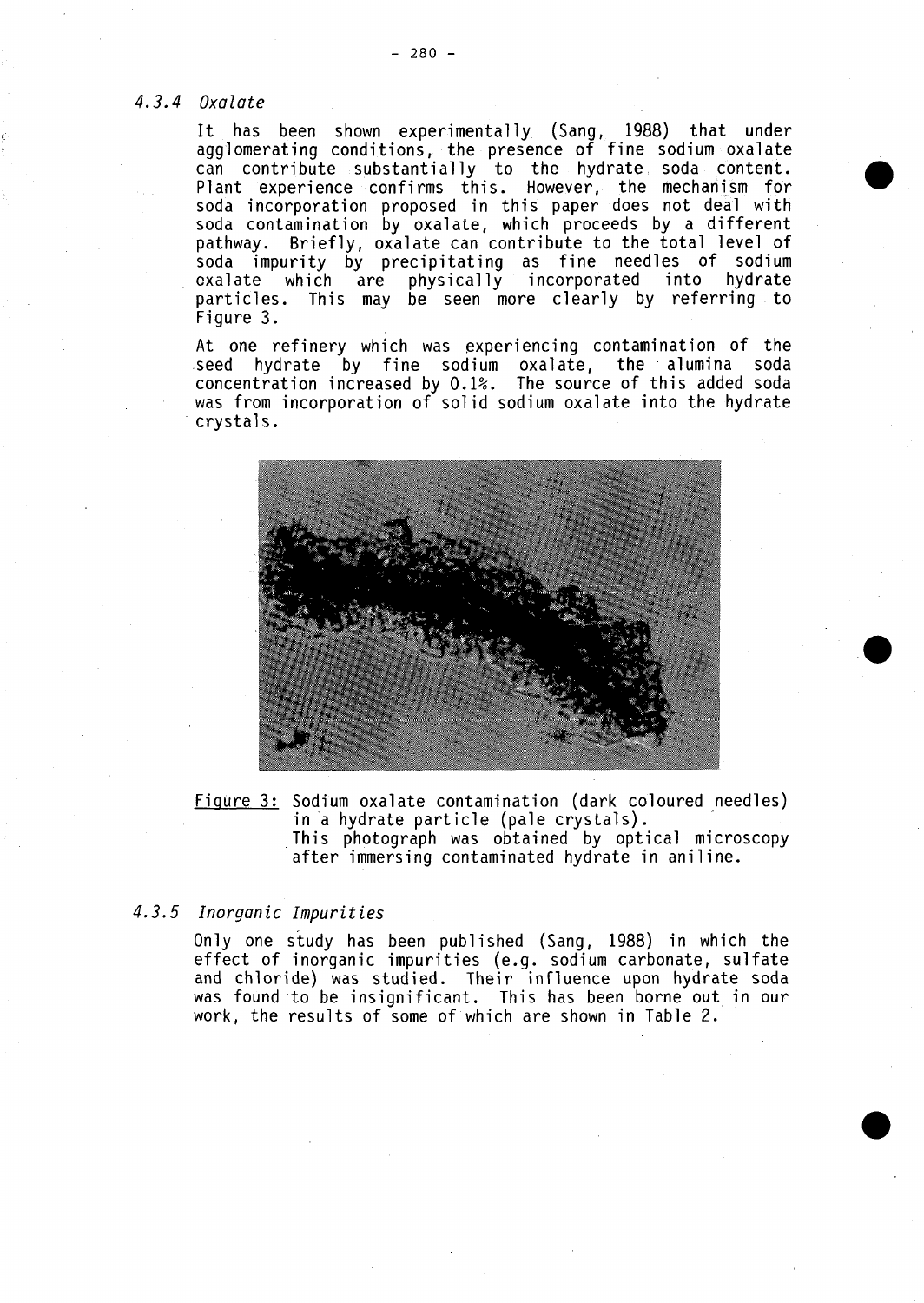# 4.3.4 Oxalate

It has been shown experimentally. (Sang, **1988)** that under agglomerating conditions, the presence of fine sodium oxalate can contribute substantially to the hydrate, soda content. Plant experience confirms this. However, the mechanism for soda incorporation proposed in this paper does not deal with soda contamination **by** oxalate, which proceeds **by** a different pathway. Briefly, oxalate can contribute to the total level of soda impurity **by** precipitating as fine needles of sodium oxalate which are physically incorporated into hydrate particles. This may be seen more clearly **by** referring to Figure **3.**

At one refinery which was experiencing contamination of the seed hydrate **by** fine Sodium oxalate, the alumina soda concentration increased **by 0.1%.** The source of this added soda was from incorporation of solid sodium oxalate into the hydrate crystals.



Figure **3:** Sodium oxalate contamination (dark coloured needles) in a hydrate particle (pale crystals). This photograph was obtained **by** optical microscopy after immersing contaminated hydrate in aniline.

# 4.3.5 Inorganic Impurities

Only one study has been published (Sang, **1988)** in which the effect of inorganic impurities (e.g. sodium carbonate, sulfate and chloride) was studied. Their influence upon hydrate soda was found to be insignificant. This has been borne out in our work, the results of some of which are shown in Table 2.

**0**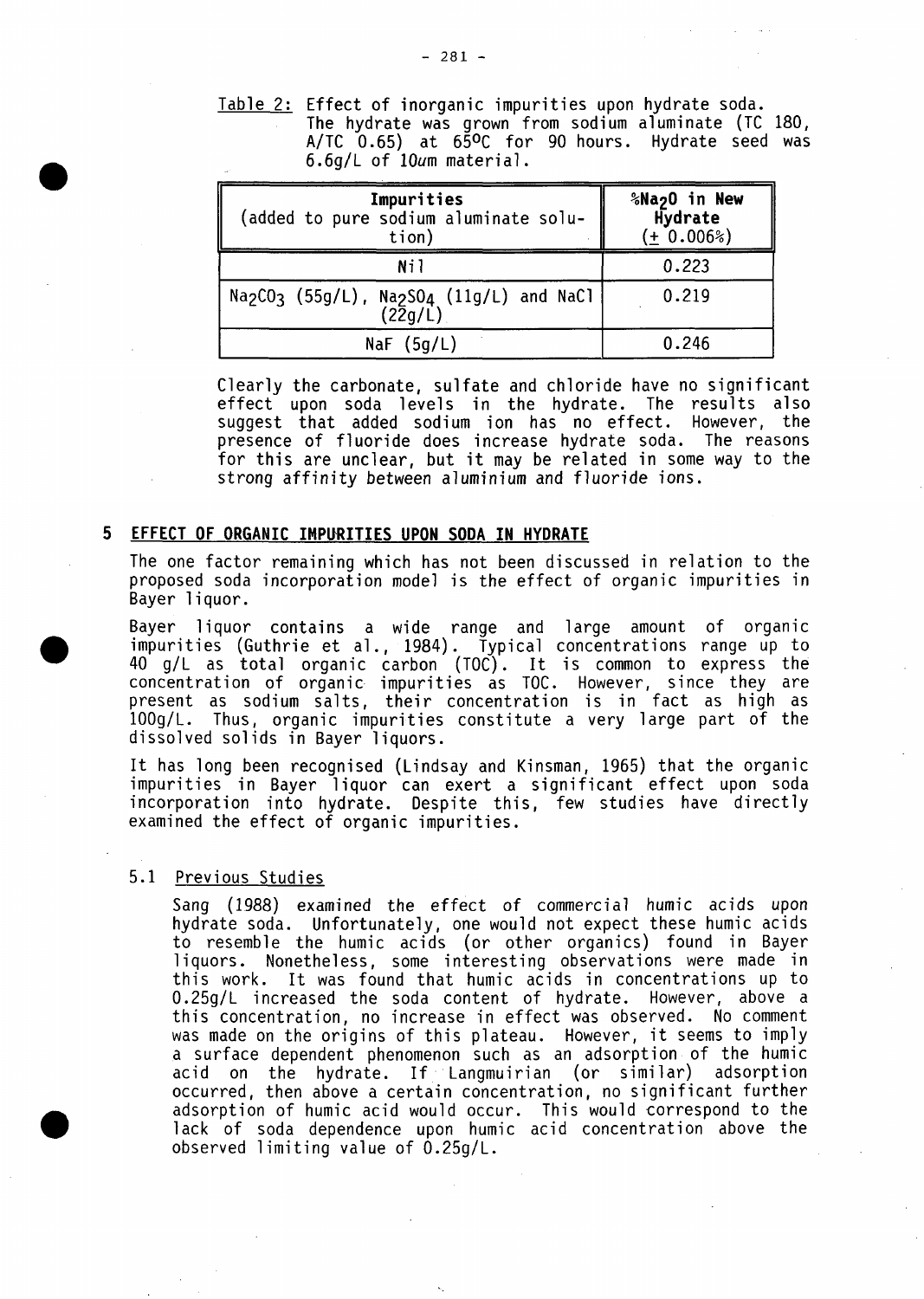Table 2: Effect of inorganic impurities upon hydrate soda. The hydrate was grown from sodium aluminate **(TC 180, A/TC 0.65)** at **650C** for **90** hours. Hydrate seed was **6.6g/L** of l0um material.

| Impurities<br>(added to pure sodium aluminate solu-<br>tion)                                                      | %Na2O in New<br>Hydrate<br>(± 0.006%) |
|-------------------------------------------------------------------------------------------------------------------|---------------------------------------|
| Nil                                                                                                               | 0.223                                 |
| Na <sub>2</sub> CO <sub>3</sub> (55g/L), Na <sub>2</sub> SO <sub>4</sub> (11g/L) and NaCl<br>$(2\overline{2}g/L)$ | 0.219                                 |
| NaF $(5q/L)$                                                                                                      | 0.246                                 |

Clearly the carbonate, sulfate and chloride have no significant effect upon soda levels in the hydrate. The results also suggest that added sodium ion has no effect. However, the presence of fluoride does increase hydrate soda. The reasons for this are unclear, but it may be related in some way to the strong affinity between aluminium and fluoride ions.

### **5 EFFECT OF ORGANIC IMPURITIES UPON SODA IN HYDRATE**

The one factor remaining which has not been discussed in relation to the proposed soda incorporation model is the effect of organic impurities in Bayer liquor.

Bayer liquor contains a wide range and large amount of organic impurities (Guthrie et al **.,** 1984). Typical concentrations range up to <sup>40</sup>**gIL** as total organic carbon **(TOG) .** It is common to express the concentration of organic. impurities as **TOG.** However, since they are present as sodium salts, their concentration is in fact as high as **lO0g/L.** Thus, organic impurities constitute a very large part of the dissolved solids in Bayer liquors.

It has long been recognised (Lindsay and Kinsman, **1965)** that the organic impurities in Bayer liquor can exert a significant effect upon soda incorporation into hydrate. Despite this, few studies have directly examined the effect of organic impurities.

# **5.1** Previous Studies

Sang (1988) examined the effect of commercial humic acids upon hydrate soda. Unfortunately, one would not expect these humic acids to resemble the humic acids (or other organics) found in Bayer ]iquors. Nonetheless, some interesting observations were made in this work. It was found that humic acids in concentrations up to **0.25g/L** increased the soda content of hydrate. However, above a this concentration, no increase in effect was observed. No comment was made on the origins of this plateau. However, it seems to imply ,a surface dependent phenomenon such as an adsorption of the humic acid on the hydrate. If Langmuirian (or similar) adsorption occurred, then above a certain concentration, no significant further adsorption of humic acid would occur. This would correspond to the lack of soda dependence upon humic acid concentration above the observed limiting value of 0.25g/L.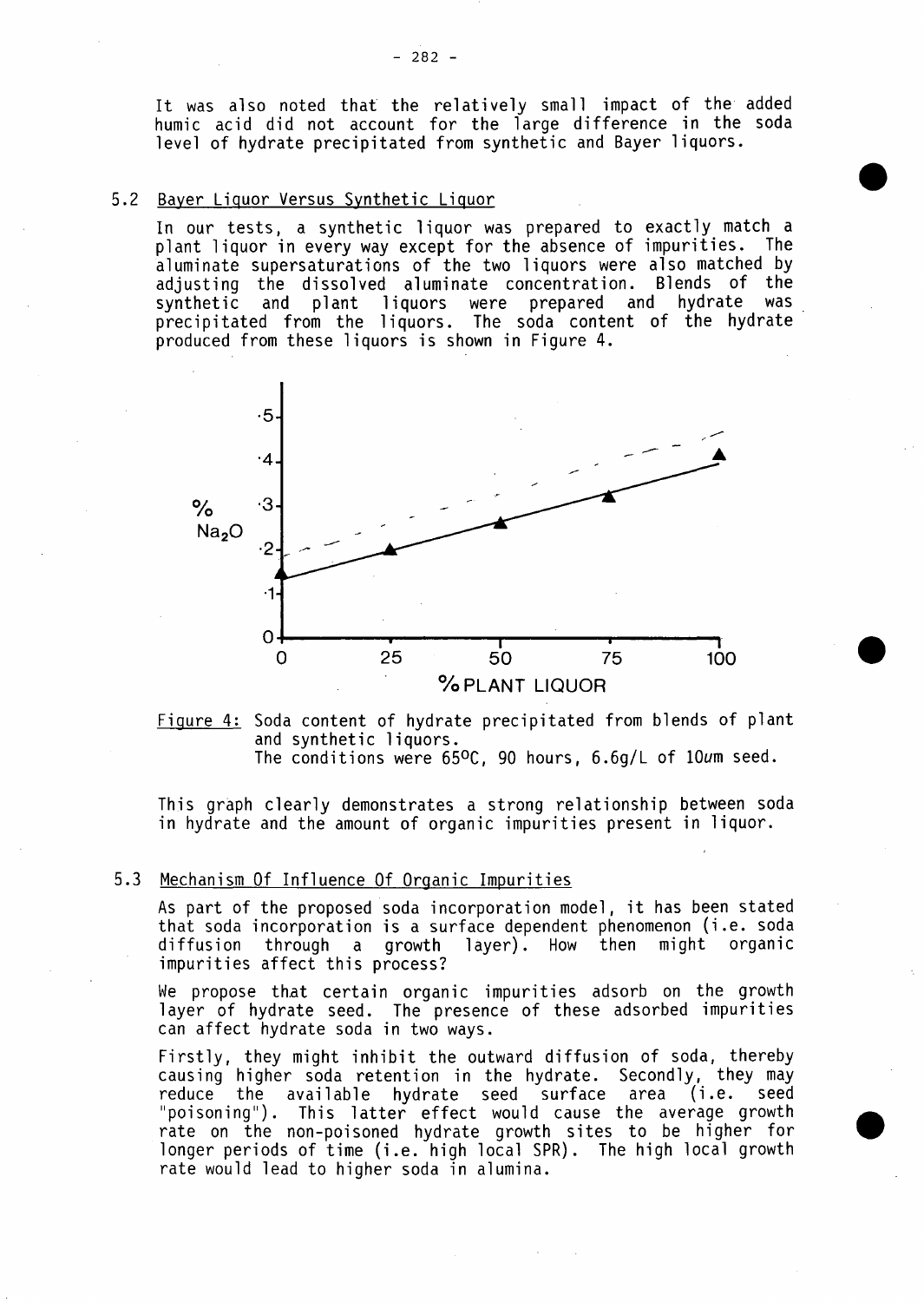It was also noted that the relatively small impact of the added humic acid did not account for the large difference in the soda level of hydrate precipitated from synthetic and Bayer liquors.

# **5.2** Bayer Liquor Versus Synthetic Liquor

In our tests, a synthetic liquor was prepared to exactly match a plant liquor in every way except for the absence of impurities. The aluminate supers aturat ions of the two liquors were also matched **by** adjusting the dissolved aluminate concentration. Blends of the synthetic and plant liquors were prepared and hydrate was precipitated from the liquors. The soda content of the hydrate produced from these liquors is shown in Figure 4.



Figure 4: Soda content of hydrate precipitated from blends of plant and synthetic liquors. The conditions were 65<sup>o</sup>C, 90 hours, 6.6g/L of 10um seed.

This graph clearly demonstrates a strong relationship between soda in hydrate and the amount of organic impurities present in liquor.

# **5.3** Mechanism **Of** Influence **Of** Organic Impurities

As part of the proposed soda incorporation model, it has been stated that soda incorporation is a surface dependent phenomenon (i.e. soda<br>diffusion through a growth laver). How then might organic diffusion through a growth layer). How then impurities affect this process?

We propose that certain organic impurities adsorb on the growth layer of hydrate seed. The presence of these adsorbed impurities can affect hydrate soda in two ways.

Firstly, they might inhibit the outward diffusion of soda, thereby<br>causing higher soda retention in the hydrate. Secondly, they may reduce the available hydrate seed surface area (i.e. seec<br>"poisoning"). This latter effect would cause the average growth rate on the non-poisoned hydrate growth sites to be higher for0 longer periods of time (i.e. high local SPR). The high local growth rate would lead to higher soda in alumina.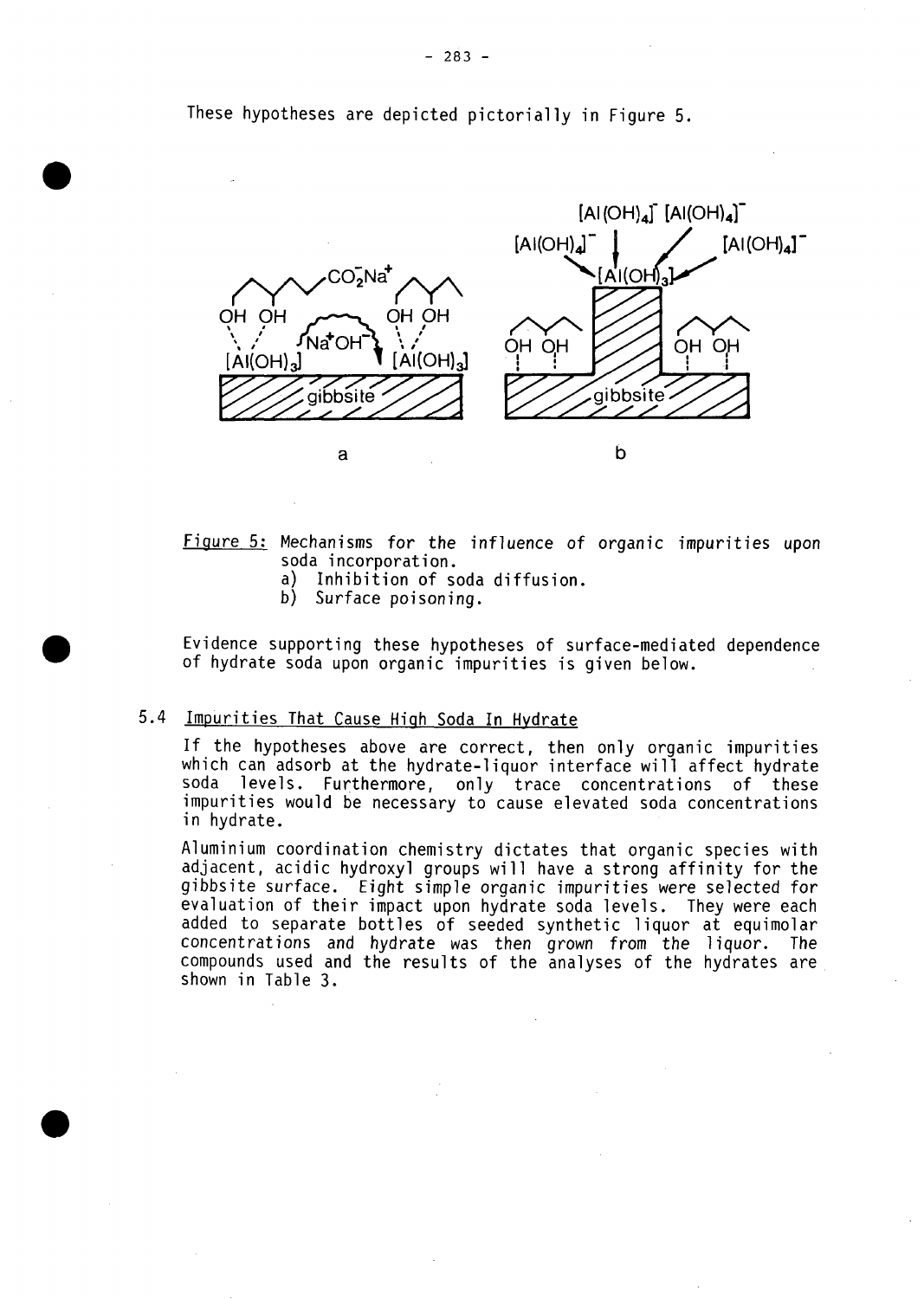These hypotheses are depicted pictorially in Figure **5.**



Figure **5:** Mechanisms for the influence of organic impurities upon soda incorporation.

- a) Inhibition of soda diffusion.
- **b)** Surface poisoning.

Evidence supporting these hypotheses of surface-mediated dependence<br>of hydrate soda upon organic impurities is given below.

# 5.4 Impurities That Cause High Soda In Hydrate

If the hypotheses above are correct, then only organic impurities which can adsorb at the hydrate-liquor interface will affect hydrate soda levels. Furthermore, only trace concentrations of these impurities would be necessary to cause elevated soda concentrations in hydrate.

Aluminium coordination chemistry dictates that organic species with adjacent, acidic hydroxyl groups will have a strong affinity for the gibbsite surface. Eight simple organic impurities were selected for evaluation of their impact upon hydrate soda levels. They were each added to separate bottles of seeded synthetic liquor at equimolar concentrations and hydrate was then grown from the liquor. The compounds used and the results of the analyses of the hydrates are shown in Table **3.**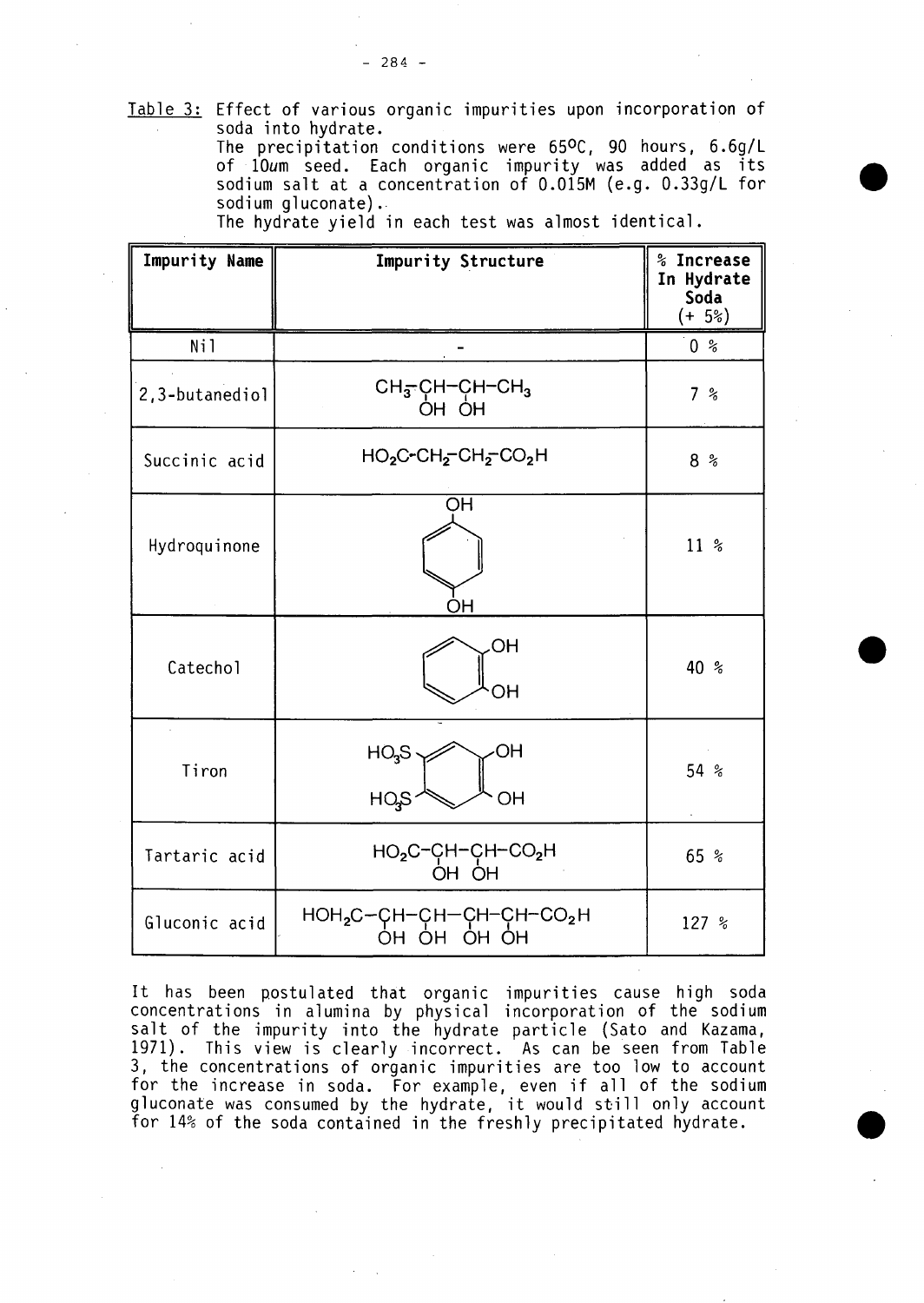Table **3:** Effect of various organic impurities upon incorporation of soda into hydrate.

The precipitation conditions were **650C, 90** hours, **6.6g/L** of  $10$ um seed. Each organic impurity was added as  $\mathrm{i}\mathbf{t}$ sodium salt at a concentration of 0.015M (e.g. 0.33g/L for sodium gluconate).

**a**

**0**

The hydrate yield in each test was almost identica].

| Impurity Name  | Impurity Structure                                           | % Increase<br>In Hydrate<br>Soda<br>$(+ 5\%)$ |
|----------------|--------------------------------------------------------------|-----------------------------------------------|
| Ni1            |                                                              | 0 <sup>°</sup>                                |
| 2,3-butanediol | CH <sub>3</sub> -CH-CH-CH <sub>3</sub><br>OH OH              | 7%                                            |
| Succinic acid  | $HO_2C$ -CH <sub>2</sub> -CH <sub>2</sub> -CO <sub>2</sub> H | 8%                                            |
| Hydroquinone   | OH<br>OН                                                     | $11*$                                         |
| Catechol       | ,OH<br>OН                                                    | 40 %                                          |
| Tiron          | HO <sub>3</sub> S<br>OH<br>HO <sub>3</sub> S<br>OH           | 54 %                                          |
| Tartaric acid  | $HO_2C$ <sup>-</sup> CH-CH-CO <sub>2</sub> H<br>OH OH        | 65 %                                          |
| Gluconic acid  | $HOH_2C-CH-CH-CH-CH-CO_2H$<br>OH OH OH OH                    | 127 %                                         |

It has been postulated that organic impurities cause high soda concentrations in alumina **by** physical incorporation of the sodium salt of the impurity into the hydrate particle (Sato and Kazama, **1971).** This view is clearly incorrect. As can be seen from Table **3,** the concentrations of organic impurities are too low to account for the increase in soda. For example, even if all of the sodium gluconate was consumed **by** the hydrate, it would still only account for 14% of the soda contained in the freshly precipitated hydrate.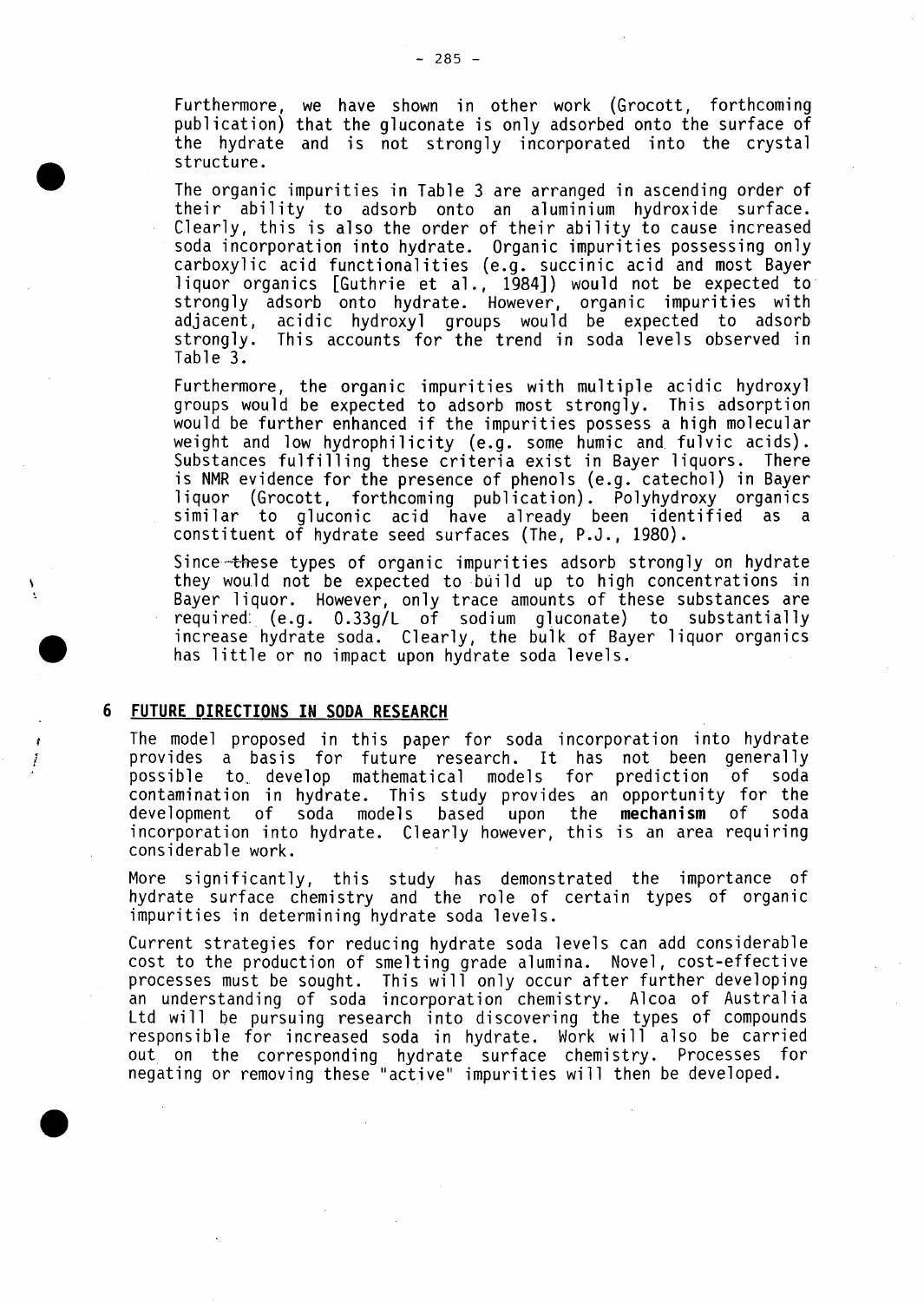Furthermore, we have shown in other work (Grocott, forthcoming publication) that the gluconate is only adsorbed onto the surface of the hydrate and is not strongly incorporated into the crysta] structure.

**0** The organic impurities in Table **3** are arranged in ascending order of their ability to adsorb onto an aluminium hydroxide surface. Clearly, this is also the order of their ability to cause increased soda incorporation into hydrate. Organic impurities possessing only carboxylic acid functionalities (e.g. succinic acid and most Bayer liquor organics [Guthrie et al., 1984]) would not be expected to strongly adsorb onto hydrate. However, organic impurities with adjacent, acidic hydroxyl groups would be expected to adsorb strongly. This accounts for the trend in soda levels observed in Table **3.**

Furthermore, the organic impurities with multiple acidic hydroxyl groups would be expected to adsorb most strongly. This adsorption would be further enhanced if the impurities possess a high molecular weight and low hydrophilicity (e.g. some humic and fulvic acids).<br>Substances fulfilling these criteria exist in Bayer liquors. There is NMR evidence for the presence of phenols (e.g. catechol) in Bayer<br>liquor (Grocott. forthcoming publication). Polyhydroxy organics  $\delta$  (Grocott, forthcoming publication). Polyhydroxy organics similar to gluconic acid have already been identified as a constituent of hydrate seed surfaces (The, **P.J., 1980).**

Since-these types of organic impurities adsorb strongly on hydrate they would not be expected to build up to high concentrations in Bayer liquor. However, only trace amounts of these substances are required: (e.g. 0.33g/L of sodium gluconate) to substantially increase hydrate soda. Clearly, the bulk of Bayer liquor organics has little or no impact upon hydrate solid levels.

#### **6 FUTURE DIRECTIONS IN SODA RESEARCH**

Ť

The model proposed in this paper for soda incorporation into hydrate provides a basis for future research. It has not been generally possible to.. develop mathematical models for prediction of soda contamination in hydrate. This study provides an opportunity for the development of soda models based upon the **mechanism** of soda incorporation into hydrate. Clearly however, this is an area requiring considerable work.

More significantly, this study has demonstrated the importance of hydrate surface chemistry and the role of certain types of organic impurities in determining hydrate soda levels.

Current strategies for reducing hydrate soda levels can add considerable cost to the production of smelting grade alumina. Novel, cost-effective processes must be sought. This will only occur after further developing an understanding of soda incorporation chemistry. Alcoa of Australia Ltd will be pursuing research into discovering the types of compounds responsible for increased soda in hydrate. Work will also be carried out. on the corresponding hydrate surface chemistry. Processes for negating or removing these "active" impurities will then be developed.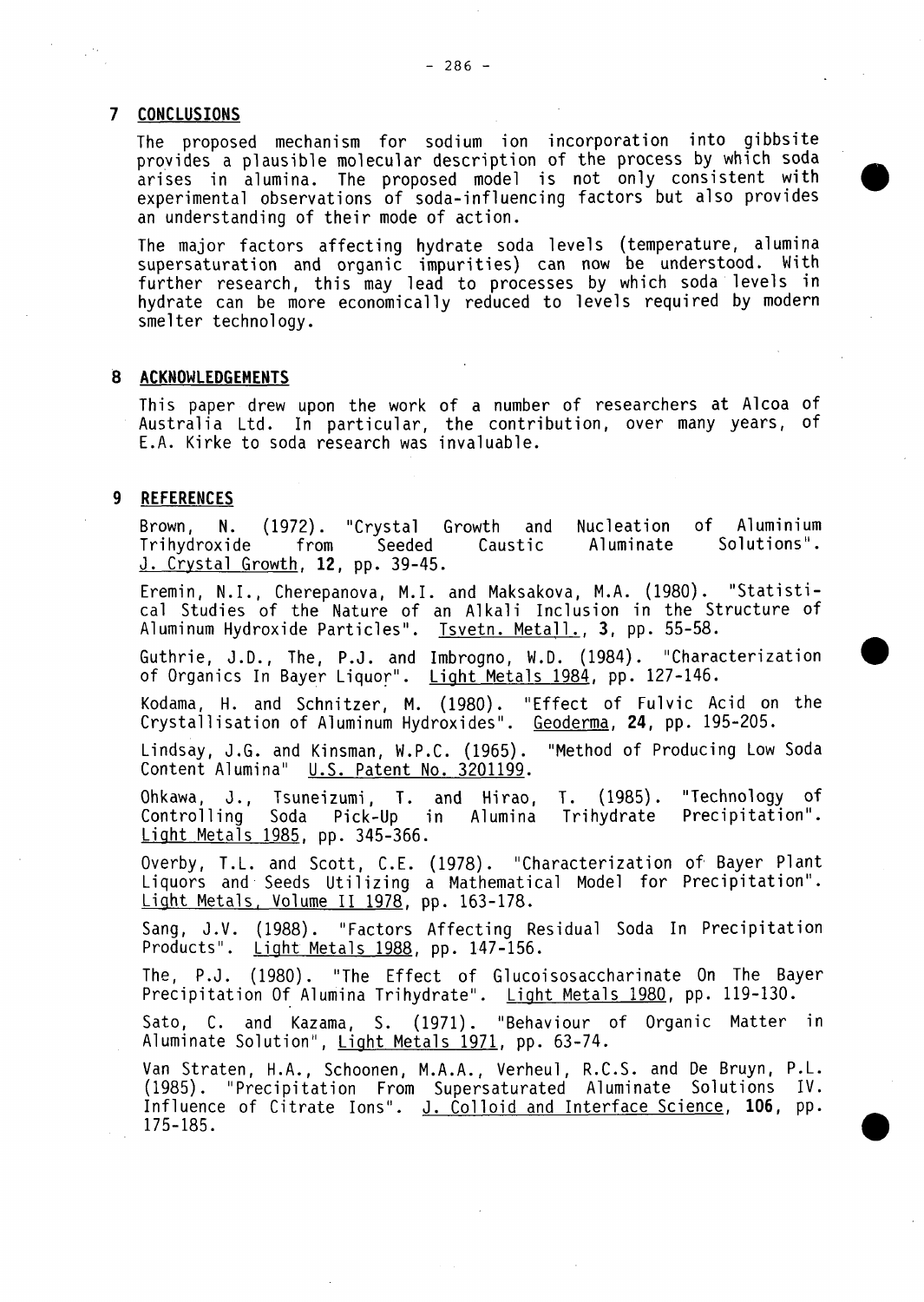# **7 CONCLUSIONS**

 $\mathcal{A}^{(n)}$ 

The proposed mechanism for sodium ion incorporation into gibbsite provides a plausible molecular description of the process **by** which soda arises in alumina. The proposed mode] is not only consistent with experimental observations of soda-influencing factors but also provides an understanding of their mode of action.

The major factors affecting hydrate soda levels (temperature, alumina supersaturation and organic impurities) can now be understood. With further research, this may lead to processes **by** which soda levels in hydrate can be more economically reduced to levels required **by** modern smelter technology.

# **8 ACKNOWLEDGEMENTS**

This paper drew upon the work of a number of researchers at Alcoa of Australia Ltd. In particular, the contribution, over many years, of **E.A.** Kirke to soda research was invaluable.

### **9 REFERENCES**

Brown, **N. (1972).** "Crystal Growth and Nucleation of Aluminium Trihydroxide from Seeded Caustic **J.** Crystal Growth, **12, pp.** 39-45.

Eremin, N.I., Cherepanova, M.I. and Maksakova, M.A. **(1980).** "Statistical Studies of the Nature of an Alkali Inclusion in the Structure of Aluminum Hydroxide Particles". Tsvetn. Metall., **3, pp. 55-58.**

Guthrie, **J.D.,** The, **P.J.** and Imbrogno, W.D. (1984). "Characterization **0** of Organics In Bayer Liquor". Light Metals 1984, **pp.** 127-146.

Kodama, H. and Schnitzer, M. **(1980).** "Effect of Fulvic Acid on the Crystallisation of Aluminum Hydroxides". Geoderma, 24, **pp. 195-205.**

Lindsay, **J.G.** and Kinsman, W.P.C. **(1965).** "Method of Producing Low Soda Content Alumina" **U.S.** Patent No. **3201199.**

Ohkawa, **J.,** Tsuneizumi, T. and Hirao, T. **(1985).** "Technology of Controlling Soda Pick-Up in Alumina Trihydrate Precipitation". Light Metals **1985, pp. 345-366.**

Overby, T.L. and Scott, **C.E. (1918).** "Characterization of' Bayer Plant Liquors and Seeds Utilizing a Mathematical Model for Precipitation". Light Metals. Volume **11 1978, pp. 163-178.**

Sang, **J.V. (1988).** "Factors Affecting Residual Soda In Precipitation Products". Light Metals **1988, pp. 147-156.**

The, P.J. **(1980).** "The Effect of Glucoisosaccharinate On The Bayer Precipitation **Of** Alumina Trihydrate". Light Metals **1980, pp. 119-130.**

Sato, **C.** and Kazama, **S. (1971).** "Behaviour of Organic Matter in Aluminate Solution", Light Metals **1971, pp. 63-74.**

Van Straten, **H.A.,** Schoonen, **M.A.A.,** Verheul, R.C.S. and De Bruyn, P.L. **(1985).** "Precipitation From Supersaturated Aluminate Solutions IV. Influence of Citrate Ions". **J.** Colloid and Interface Science, **106, pp. 175-185.**